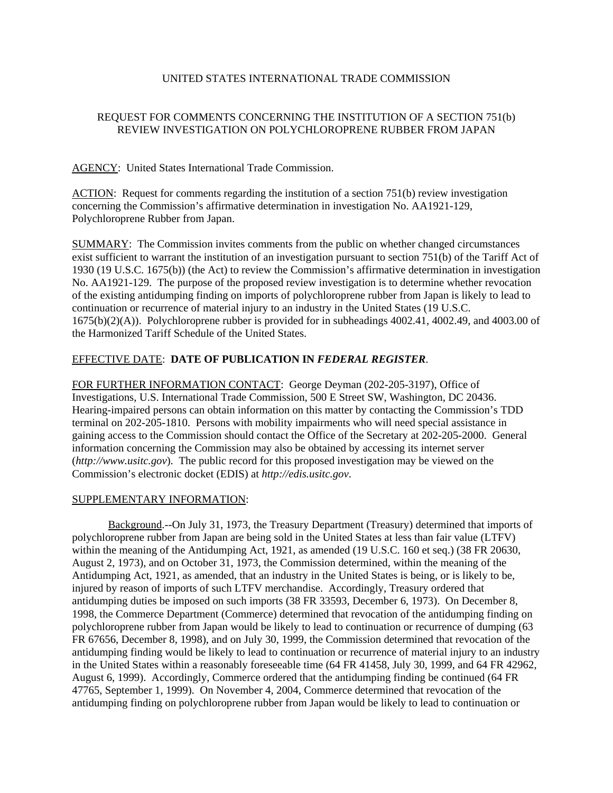## UNITED STATES INTERNATIONAL TRADE COMMISSION

# REQUEST FOR COMMENTS CONCERNING THE INSTITUTION OF A SECTION 751(b) REVIEW INVESTIGATION ON POLYCHLOROPRENE RUBBER FROM JAPAN

### AGENCY: United States International Trade Commission.

ACTION: Request for comments regarding the institution of a section 751(b) review investigation concerning the Commission's affirmative determination in investigation No. AA1921-129, Polychloroprene Rubber from Japan.

SUMMARY: The Commission invites comments from the public on whether changed circumstances exist sufficient to warrant the institution of an investigation pursuant to section 751(b) of the Tariff Act of 1930 (19 U.S.C. 1675(b)) (the Act) to review the Commission's affirmative determination in investigation No. AA1921-129. The purpose of the proposed review investigation is to determine whether revocation of the existing antidumping finding on imports of polychloroprene rubber from Japan is likely to lead to continuation or recurrence of material injury to an industry in the United States (19 U.S.C. 1675(b)(2)(A)). Polychloroprene rubber is provided for in subheadings 4002.41, 4002.49, and 4003.00 of the Harmonized Tariff Schedule of the United States.

### EFFECTIVE DATE: **DATE OF PUBLICATION IN** *FEDERAL REGISTER*.

FOR FURTHER INFORMATION CONTACT: George Deyman (202-205-3197), Office of Investigations, U.S. International Trade Commission, 500 E Street SW, Washington, DC 20436. Hearing-impaired persons can obtain information on this matter by contacting the Commission's TDD terminal on 202-205-1810. Persons with mobility impairments who will need special assistance in gaining access to the Commission should contact the Office of the Secretary at 202-205-2000. General information concerning the Commission may also be obtained by accessing its internet server (*http://www.usitc.gov*). The public record for this proposed investigation may be viewed on the Commission's electronic docket (EDIS) at *http://edis.usitc.gov*.

#### SUPPLEMENTARY INFORMATION:

Background.--On July 31, 1973, the Treasury Department (Treasury) determined that imports of polychloroprene rubber from Japan are being sold in the United States at less than fair value (LTFV) within the meaning of the Antidumping Act, 1921, as amended (19 U.S.C. 160 et seq.) (38 FR 20630, August 2, 1973), and on October 31, 1973, the Commission determined, within the meaning of the Antidumping Act, 1921, as amended, that an industry in the United States is being, or is likely to be, injured by reason of imports of such LTFV merchandise. Accordingly, Treasury ordered that antidumping duties be imposed on such imports (38 FR 33593, December 6, 1973). On December 8, 1998, the Commerce Department (Commerce) determined that revocation of the antidumping finding on polychloroprene rubber from Japan would be likely to lead to continuation or recurrence of dumping (63 FR 67656, December 8, 1998), and on July 30, 1999, the Commission determined that revocation of the antidumping finding would be likely to lead to continuation or recurrence of material injury to an industry in the United States within a reasonably foreseeable time (64 FR 41458, July 30, 1999, and 64 FR 42962, August 6, 1999). Accordingly, Commerce ordered that the antidumping finding be continued (64 FR 47765, September 1, 1999). On November 4, 2004, Commerce determined that revocation of the antidumping finding on polychloroprene rubber from Japan would be likely to lead to continuation or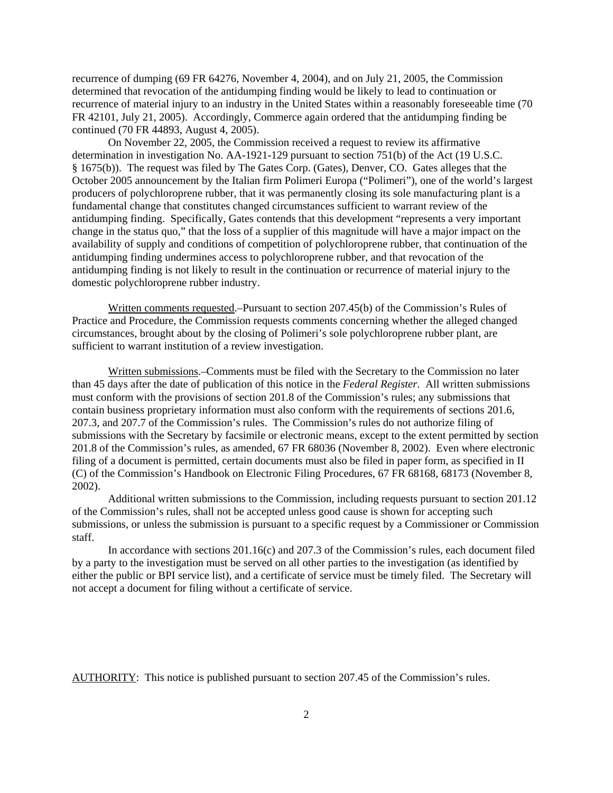recurrence of dumping (69 FR 64276, November 4, 2004), and on July 21, 2005, the Commission determined that revocation of the antidumping finding would be likely to lead to continuation or recurrence of material injury to an industry in the United States within a reasonably foreseeable time (70 FR 42101, July 21, 2005). Accordingly, Commerce again ordered that the antidumping finding be continued (70 FR 44893, August 4, 2005).

On November 22, 2005, the Commission received a request to review its affirmative determination in investigation No. AA-1921-129 pursuant to section 751(b) of the Act (19 U.S.C. § 1675(b)). The request was filed by The Gates Corp. (Gates), Denver, CO. Gates alleges that the October 2005 announcement by the Italian firm Polimeri Europa ("Polimeri"), one of the world's largest producers of polychloroprene rubber, that it was permanently closing its sole manufacturing plant is a fundamental change that constitutes changed circumstances sufficient to warrant review of the antidumping finding. Specifically, Gates contends that this development "represents a very important change in the status quo," that the loss of a supplier of this magnitude will have a major impact on the availability of supply and conditions of competition of polychloroprene rubber, that continuation of the antidumping finding undermines access to polychloroprene rubber, and that revocation of the antidumping finding is not likely to result in the continuation or recurrence of material injury to the domestic polychloroprene rubber industry.

Written comments requested.–Pursuant to section 207.45(b) of the Commission's Rules of Practice and Procedure, the Commission requests comments concerning whether the alleged changed circumstances, brought about by the closing of Polimeri's sole polychloroprene rubber plant, are sufficient to warrant institution of a review investigation.

Written submissions.–Comments must be filed with the Secretary to the Commission no later than 45 days after the date of publication of this notice in the *Federal Register*. All written submissions must conform with the provisions of section 201.8 of the Commission's rules; any submissions that contain business proprietary information must also conform with the requirements of sections 201.6, 207.3, and 207.7 of the Commission's rules. The Commission's rules do not authorize filing of submissions with the Secretary by facsimile or electronic means, except to the extent permitted by section 201.8 of the Commission's rules, as amended, 67 FR 68036 (November 8, 2002). Even where electronic filing of a document is permitted, certain documents must also be filed in paper form, as specified in II (C) of the Commission's Handbook on Electronic Filing Procedures, 67 FR 68168, 68173 (November 8, 2002).

Additional written submissions to the Commission, including requests pursuant to section 201.12 of the Commission's rules, shall not be accepted unless good cause is shown for accepting such submissions, or unless the submission is pursuant to a specific request by a Commissioner or Commission staff.

In accordance with sections 201.16(c) and 207.3 of the Commission's rules, each document filed by a party to the investigation must be served on all other parties to the investigation (as identified by either the public or BPI service list), and a certificate of service must be timely filed. The Secretary will not accept a document for filing without a certificate of service.

AUTHORITY: This notice is published pursuant to section 207.45 of the Commission's rules.